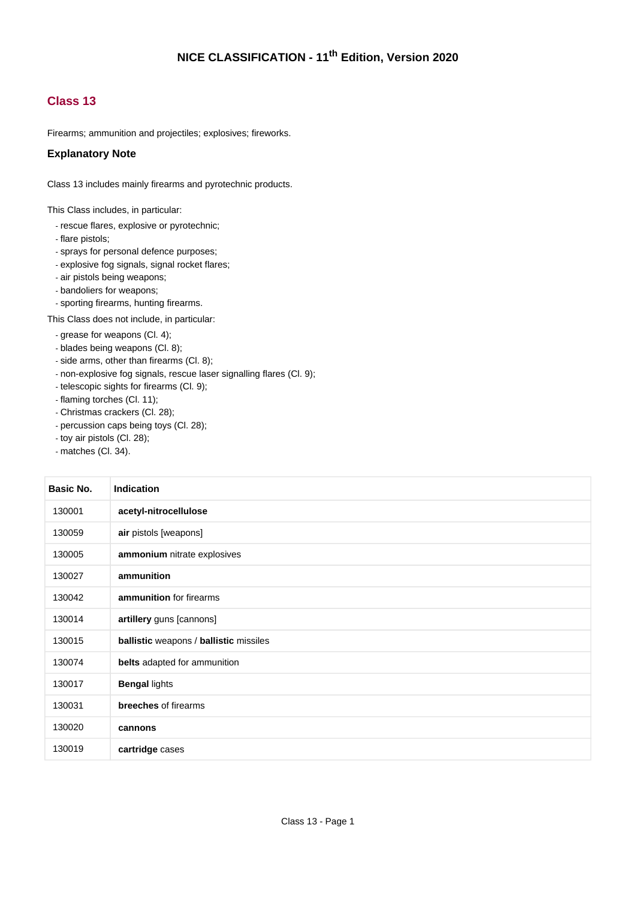#### **Class 13**

Firearms; ammunition and projectiles; explosives; fireworks.

#### **Explanatory Note**

Class 13 includes mainly firearms and pyrotechnic products.

This Class includes, in particular:

- rescue flares, explosive or pyrotechnic;
- flare pistols;
- sprays for personal defence purposes;
- explosive fog signals, signal rocket flares;
- air pistols being weapons;
- bandoliers for weapons;
- sporting firearms, hunting firearms.

This Class does not include, in particular:

- grease for weapons (Cl. 4);
- blades being weapons (Cl. 8);
- side arms, other than firearms (Cl. 8);
- non-explosive fog signals, rescue laser signalling flares (Cl. 9);
- telescopic sights for firearms (Cl. 9);
- flaming torches (Cl. 11);
- Christmas crackers (Cl. 28);
- percussion caps being toys (Cl. 28);
- toy air pistols (Cl. 28);
- matches (Cl. 34).

| Basic No. | <b>Indication</b>                      |
|-----------|----------------------------------------|
| 130001    | acetyl-nitrocellulose                  |
| 130059    | air pistols [weapons]                  |
| 130005    | ammonium nitrate explosives            |
| 130027    | ammunition                             |
| 130042    | ammunition for firearms                |
| 130014    | artillery guns [cannons]               |
| 130015    | ballistic weapons / ballistic missiles |
| 130074    | belts adapted for ammunition           |
| 130017    | <b>Bengal lights</b>                   |
| 130031    | <b>breeches</b> of firearms            |
| 130020    | cannons                                |
| 130019    | cartridge cases                        |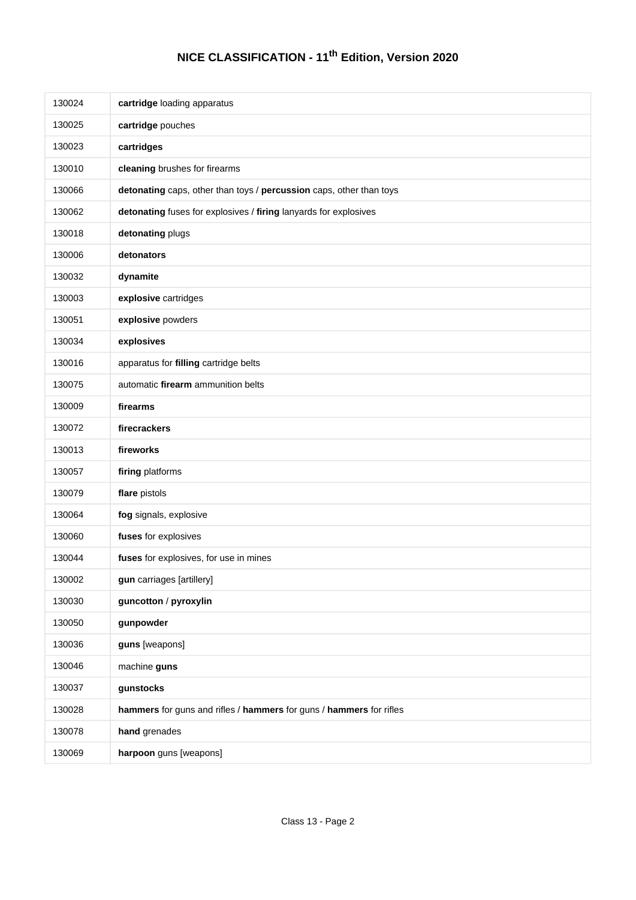| 130024 | cartridge loading apparatus                                         |
|--------|---------------------------------------------------------------------|
| 130025 | cartridge pouches                                                   |
| 130023 | cartridges                                                          |
| 130010 | cleaning brushes for firearms                                       |
| 130066 | detonating caps, other than toys / percussion caps, other than toys |
| 130062 | detonating fuses for explosives / firing lanyards for explosives    |
| 130018 | detonating plugs                                                    |
| 130006 | detonators                                                          |
| 130032 | dynamite                                                            |
| 130003 | explosive cartridges                                                |
| 130051 | explosive powders                                                   |
| 130034 | explosives                                                          |
| 130016 | apparatus for filling cartridge belts                               |
| 130075 | automatic firearm ammunition belts                                  |
| 130009 | firearms                                                            |
| 130072 | firecrackers                                                        |
| 130013 | fireworks                                                           |
| 130057 | firing platforms                                                    |
| 130079 | flare pistols                                                       |
| 130064 | fog signals, explosive                                              |
| 130060 | fuses for explosives                                                |
| 130044 | fuses for explosives, for use in mines                              |
| 130002 | gun carriages [artillery]                                           |
| 130030 | guncotton / pyroxylin                                               |
| 130050 | gunpowder                                                           |
| 130036 | guns [weapons]                                                      |
| 130046 | machine guns                                                        |
| 130037 | gunstocks                                                           |
| 130028 | hammers for guns and rifles / hammers for guns / hammers for rifles |
| 130078 | hand grenades                                                       |
| 130069 | harpoon guns [weapons]                                              |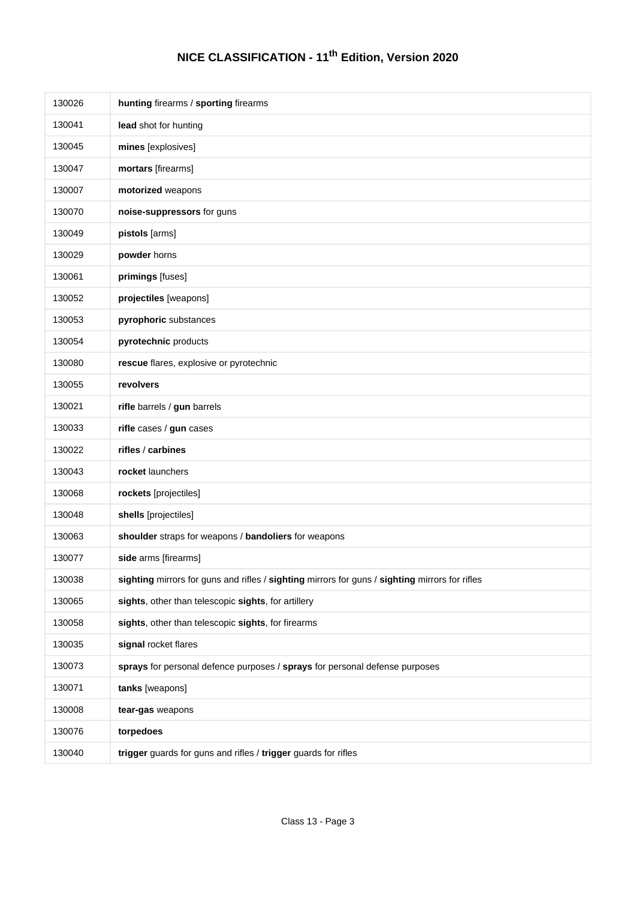| 130026 | hunting firearms / sporting firearms                                                           |
|--------|------------------------------------------------------------------------------------------------|
| 130041 | lead shot for hunting                                                                          |
| 130045 | mines [explosives]                                                                             |
| 130047 | mortars [firearms]                                                                             |
| 130007 | motorized weapons                                                                              |
| 130070 | noise-suppressors for guns                                                                     |
| 130049 | pistols [arms]                                                                                 |
| 130029 | powder horns                                                                                   |
| 130061 | primings [fuses]                                                                               |
| 130052 | projectiles [weapons]                                                                          |
| 130053 | pyrophoric substances                                                                          |
| 130054 | pyrotechnic products                                                                           |
| 130080 | rescue flares, explosive or pyrotechnic                                                        |
| 130055 | revolvers                                                                                      |
| 130021 | rifle barrels / gun barrels                                                                    |
| 130033 | rifle cases / gun cases                                                                        |
| 130022 | rifles / carbines                                                                              |
| 130043 | rocket launchers                                                                               |
| 130068 | rockets [projectiles]                                                                          |
| 130048 | shells [projectiles]                                                                           |
| 130063 | shoulder straps for weapons / bandoliers for weapons                                           |
| 130077 | side arms [firearms]                                                                           |
| 130038 | sighting mirrors for guns and rifles / sighting mirrors for guns / sighting mirrors for rifles |
| 130065 | sights, other than telescopic sights, for artillery                                            |
| 130058 | sights, other than telescopic sights, for firearms                                             |
| 130035 | signal rocket flares                                                                           |
| 130073 | sprays for personal defence purposes / sprays for personal defense purposes                    |
| 130071 | tanks [weapons]                                                                                |
| 130008 | tear-gas weapons                                                                               |
| 130076 | torpedoes                                                                                      |
| 130040 | trigger guards for guns and rifles / trigger guards for rifles                                 |